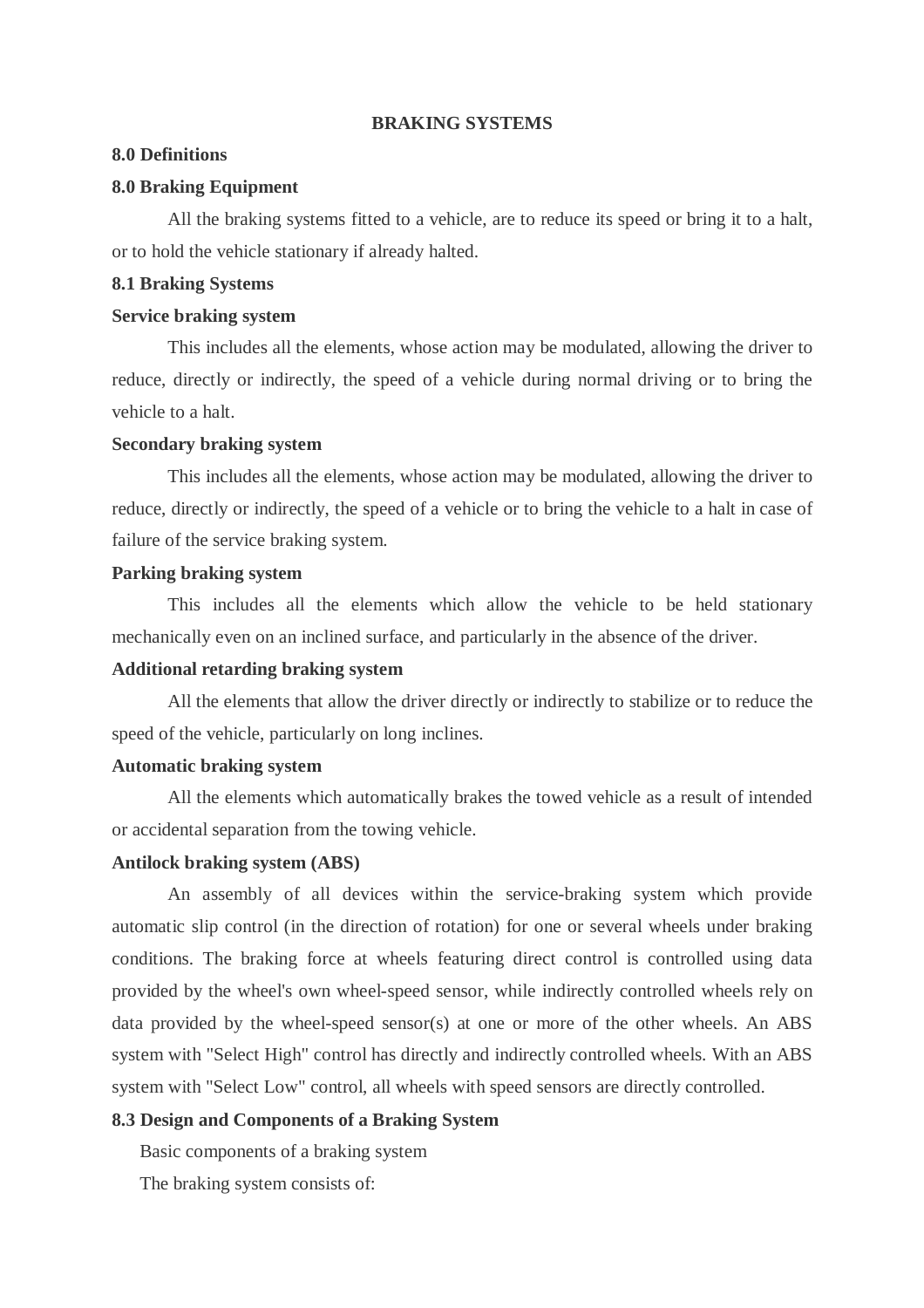#### **BRAKING SYSTEMS**

### **8.0 Definitions**

#### **8.0 Braking Equipment**

All the braking systems fitted to a vehicle, are to reduce its speed or bring it to a halt, or to hold the vehicle stationary if already halted.

### **8.1 Braking Systems**

### **Service braking system**

This includes all the elements, whose action may be modulated, allowing the driver to reduce, directly or indirectly, the speed of a vehicle during normal driving or to bring the vehicle to a halt.

### **Secondary braking system**

This includes all the elements, whose action may be modulated, allowing the driver to reduce, directly or indirectly, the speed of a vehicle or to bring the vehicle to a halt in case of failure of the service braking system.

## **Parking braking system**

This includes all the elements which allow the vehicle to be held stationary mechanically even on an inclined surface, and particularly in the absence of the driver.

#### **Additional retarding braking system**

All the elements that allow the driver directly or indirectly to stabilize or to reduce the speed of the vehicle, particularly on long inclines.

### **Automatic braking system**

All the elements which automatically brakes the towed vehicle as a result of intended or accidental separation from the towing vehicle.

#### **Antilock braking system (ABS)**

An assembly of all devices within the service-braking system which provide automatic slip control (in the direction of rotation) for one or several wheels under braking conditions. The braking force at wheels featuring direct control is controlled using data provided by the wheel's own wheel-speed sensor, while indirectly controlled wheels rely on data provided by the wheel-speed sensor(s) at one or more of the other wheels. An ABS system with "Select High" control has directly and indirectly controlled wheels. With an ABS system with "Select Low" control, all wheels with speed sensors are directly controlled.

## **8.3 Design and Components of a Braking System**

Basic components of a braking system

The braking system consists of: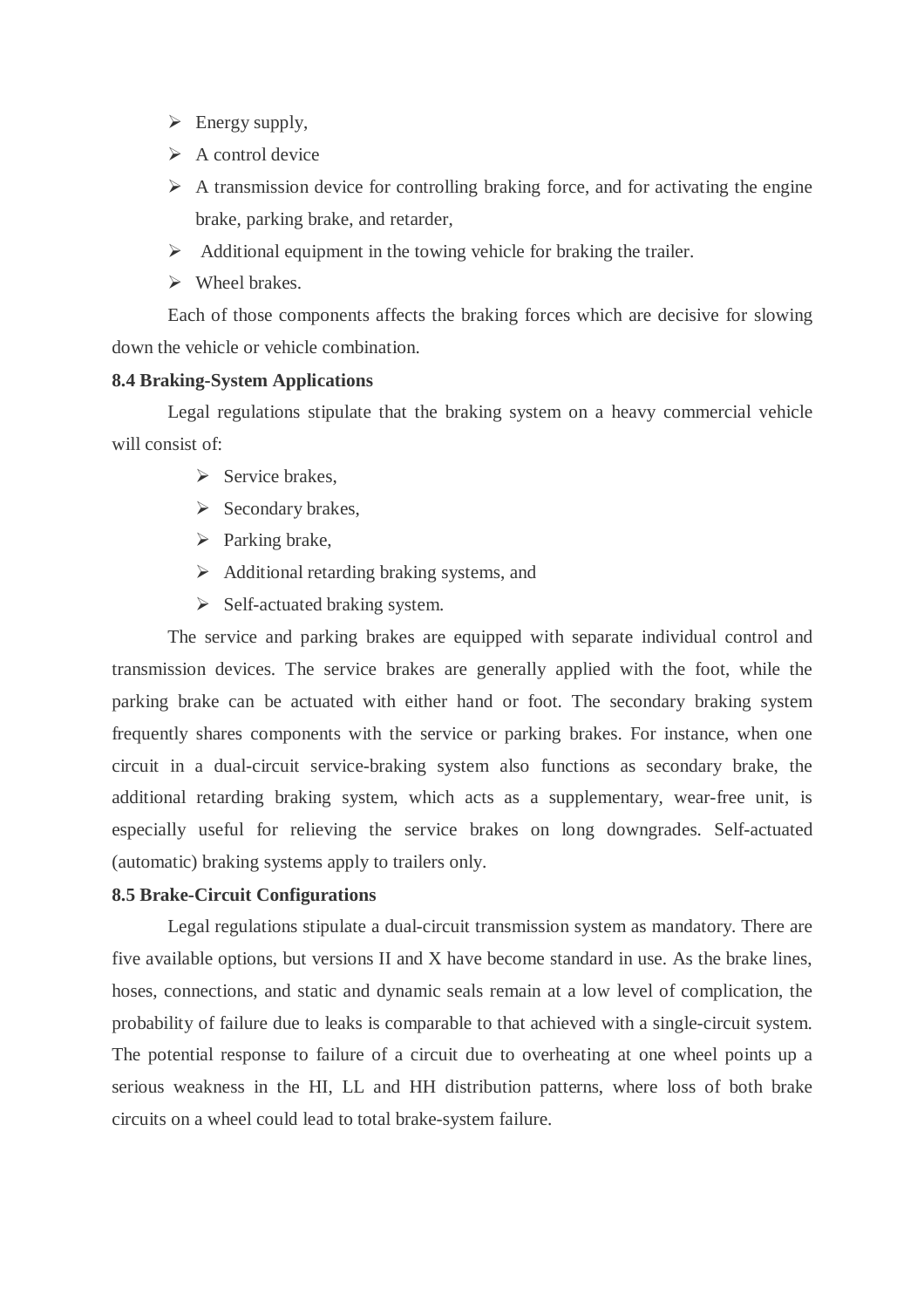- $\triangleright$  Energy supply,
- $\triangleright$  A control device
- $\triangleright$  A transmission device for controlling braking force, and for activating the engine brake, parking brake, and retarder,
- $\triangleright$  Additional equipment in the towing vehicle for braking the trailer.
- $\triangleright$  Wheel brakes.

Each of those components affects the braking forces which are decisive for slowing down the vehicle or vehicle combination.

### **8.4 Braking-System Applications**

Legal regulations stipulate that the braking system on a heavy commercial vehicle will consist of:

- $\triangleright$  Service brakes.
- $\triangleright$  Secondary brakes,
- $\triangleright$  Parking brake,
- $\triangleright$  Additional retarding braking systems, and
- $\triangleright$  Self-actuated braking system.

The service and parking brakes are equipped with separate individual control and transmission devices. The service brakes are generally applied with the foot, while the parking brake can be actuated with either hand or foot. The secondary braking system frequently shares components with the service or parking brakes. For instance, when one circuit in a dual-circuit service-braking system also functions as secondary brake, the additional retarding braking system, which acts as a supplementary, wear-free unit, is especially useful for relieving the service brakes on long downgrades. Self-actuated (automatic) braking systems apply to trailers only.

### **8.5 Brake-Circuit Configurations**

Legal regulations stipulate a dual-circuit transmission system as mandatory. There are five available options, but versions II and X have become standard in use. As the brake lines, hoses, connections, and static and dynamic seals remain at a low level of complication, the probability of failure due to leaks is comparable to that achieved with a single-circuit system. The potential response to failure of a circuit due to overheating at one wheel points up a serious weakness in the HI, LL and HH distribution patterns, where loss of both brake circuits on a wheel could lead to total brake-system failure.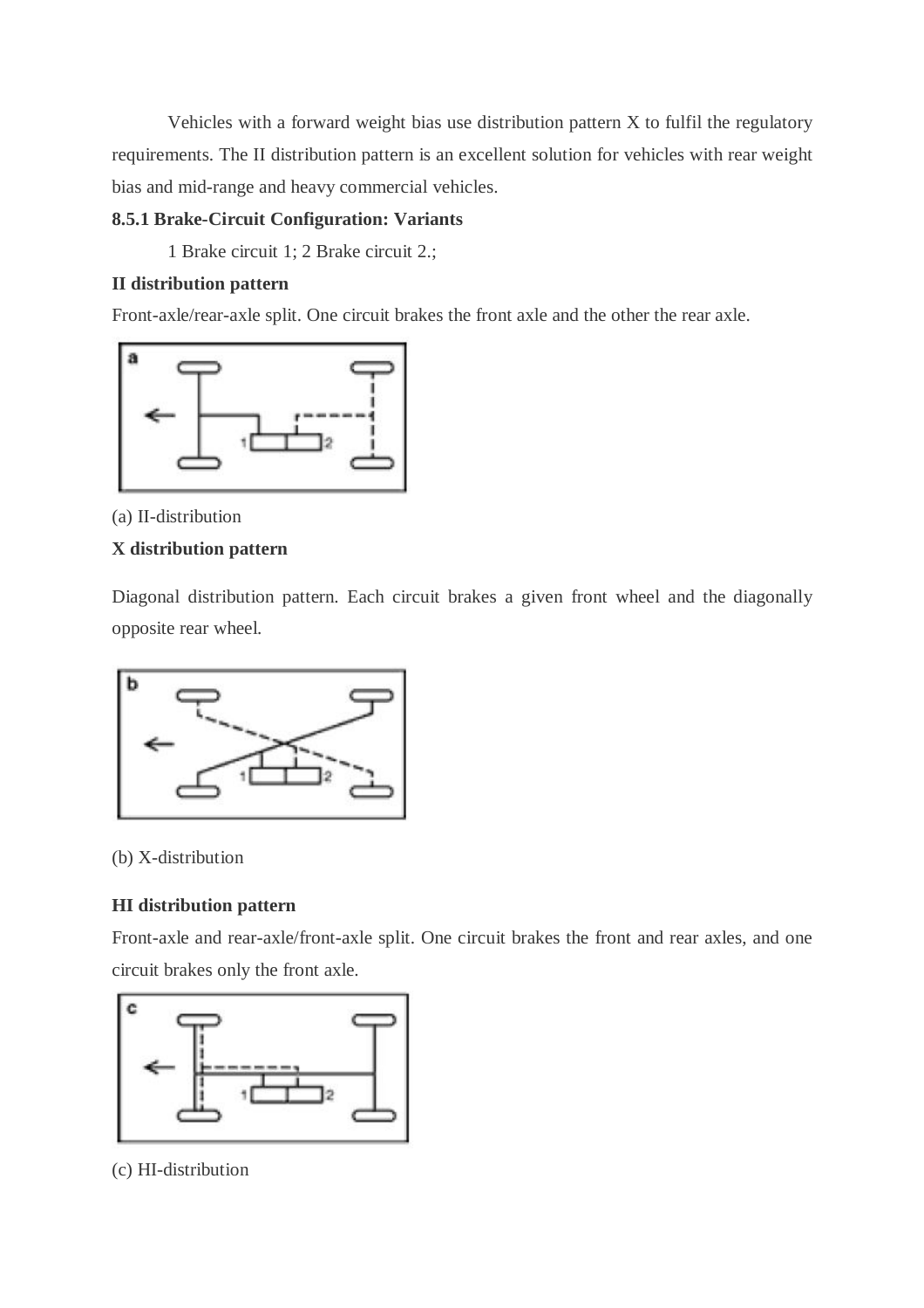Vehicles with a forward weight bias use distribution pattern X to fulfil the regulatory requirements. The II distribution pattern is an excellent solution for vehicles with rear weight bias and mid-range and heavy commercial vehicles.

# **8.5.1 Brake-Circuit Configuration: Variants**

1 Brake circuit 1; 2 Brake circuit 2.;

## **II distribution pattern**

Front-axle/rear-axle split. One circuit brakes the front axle and the other the rear axle.



(a) II-distribution

# **X distribution pattern**

Diagonal distribution pattern. Each circuit brakes a given front wheel and the diagonally opposite rear wheel.



## (b) X-distribution

# **HI distribution pattern**

Front-axle and rear-axle/front-axle split. One circuit brakes the front and rear axles, and one circuit brakes only the front axle.



(c) HI-distribution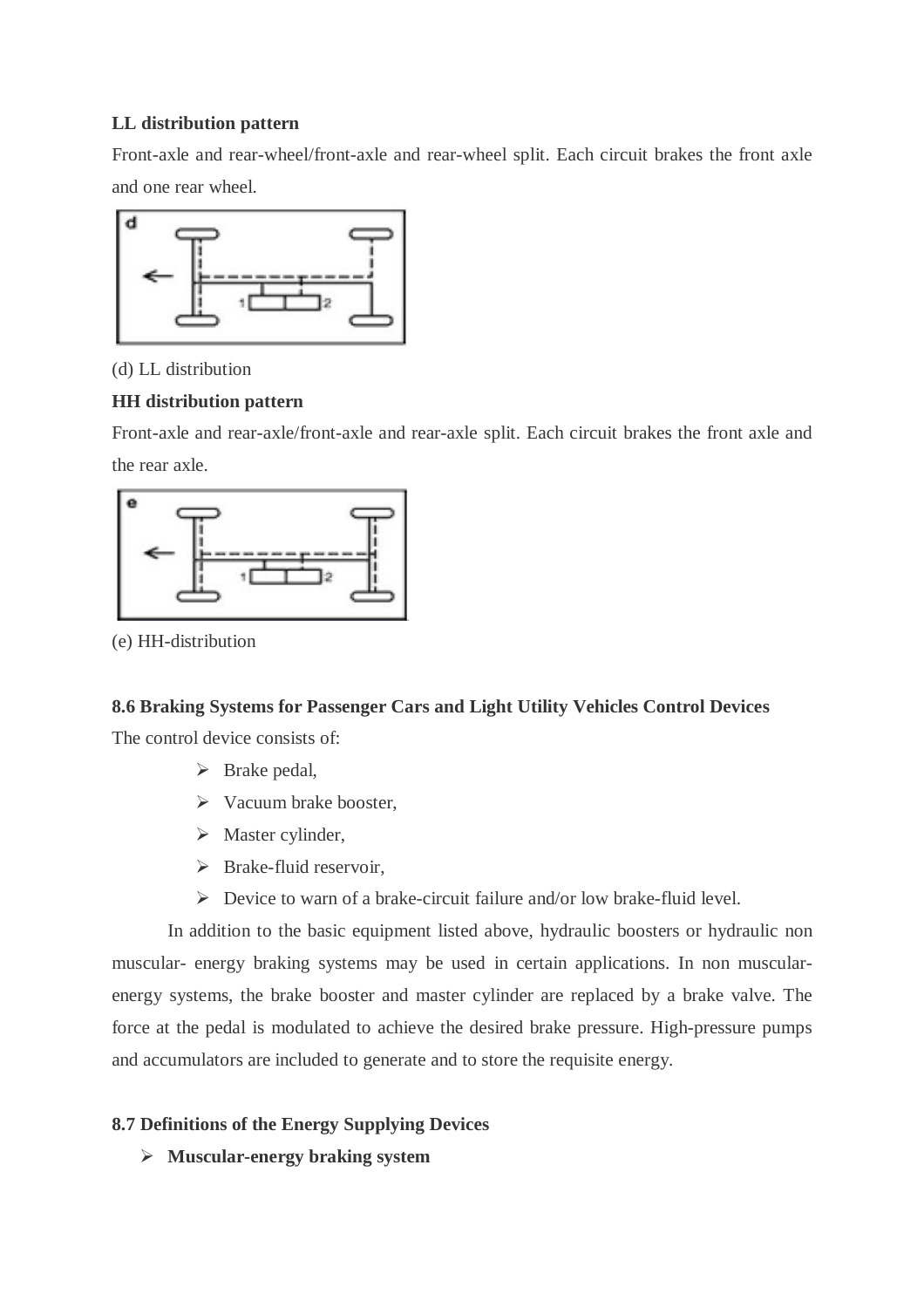# **LL distribution pattern**

Front-axle and rear-wheel/front-axle and rear-wheel split. Each circuit brakes the front axle and one rear wheel.



(d) LL distribution

# **HH distribution pattern**

Front-axle and rear-axle/front-axle and rear-axle split. Each circuit brakes the front axle and the rear axle.



(e) HH-distribution

# **8.6 Braking Systems for Passenger Cars and Light Utility Vehicles Control Devices**

The control device consists of:

- $\triangleright$  Brake pedal,
- $\triangleright$  Vacuum brake booster,
- $\triangleright$  Master cylinder,
- $\triangleright$  Brake-fluid reservoir.
- $\triangleright$  Device to warn of a brake-circuit failure and/or low brake-fluid level.

In addition to the basic equipment listed above, hydraulic boosters or hydraulic non muscular- energy braking systems may be used in certain applications. In non muscularenergy systems, the brake booster and master cylinder are replaced by a brake valve. The force at the pedal is modulated to achieve the desired brake pressure. High-pressure pumps and accumulators are included to generate and to store the requisite energy.

# **8.7 Definitions of the Energy Supplying Devices**

**Muscular-energy braking system**